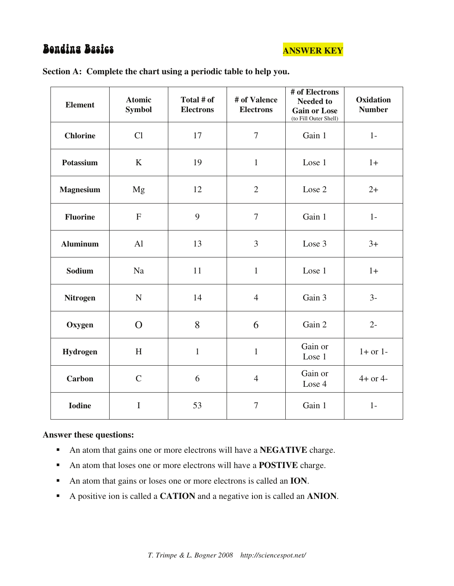# **Bendins Basic**



| <b>Element</b>   | <b>Atomic</b><br><b>Symbol</b> | Total # of<br><b>Electrons</b> | # of Valence<br><b>Electrons</b> | # of Electrons<br><b>Needed to</b><br><b>Gain or Lose</b><br>(to Fill Outer Shell) | Oxidation<br><b>Number</b> |
|------------------|--------------------------------|--------------------------------|----------------------------------|------------------------------------------------------------------------------------|----------------------------|
| <b>Chlorine</b>  | Cl                             | 17                             | $\overline{7}$                   | Gain 1                                                                             | $1-$                       |
| Potassium        | $\bf K$                        | 19                             | $\mathbf{1}$                     | Lose 1                                                                             | $1+$                       |
| <b>Magnesium</b> | Mg                             | 12                             | $\overline{2}$                   | Lose 2                                                                             | $2+$                       |
| <b>Fluorine</b>  | $\mathbf F$                    | 9                              | $\tau$                           | Gain 1                                                                             | $1-$                       |
| <b>Aluminum</b>  | AI                             | 13                             | 3                                | Lose 3                                                                             | $3+$                       |
| <b>Sodium</b>    | Na                             | 11                             | $\mathbf{1}$                     | Lose 1                                                                             | $1+$                       |
| <b>Nitrogen</b>  | ${\bf N}$                      | 14                             | $\overline{4}$                   | Gain 3                                                                             | $3-$                       |
| Oxygen           | $\Omega$                       | 8                              | 6                                | Gain 2                                                                             | $2-$                       |
| Hydrogen         | H                              | $\mathbf{1}$                   | $\mathbf{1}$                     | Gain or<br>Lose 1                                                                  | $1+$ or $1-$               |
| Carbon           | $\mathbf C$                    | 6                              | $\overline{4}$                   | Gain or<br>Lose 4                                                                  | $4+$ or $4-$               |
| <b>Iodine</b>    | $\mathbf I$                    | 53                             | $\tau$                           | Gain 1                                                                             | $1-$                       |

# **Section A: Complete the chart using a periodic table to help you.**

# **Answer these questions:**

- An atom that gains one or more electrons will have a **NEGATIVE** charge.
- An atom that loses one or more electrons will have a **POSTIVE** charge.
- An atom that gains or loses one or more electrons is called an **ION**.
- A positive ion is called a **CATION** and a negative ion is called an **ANION**.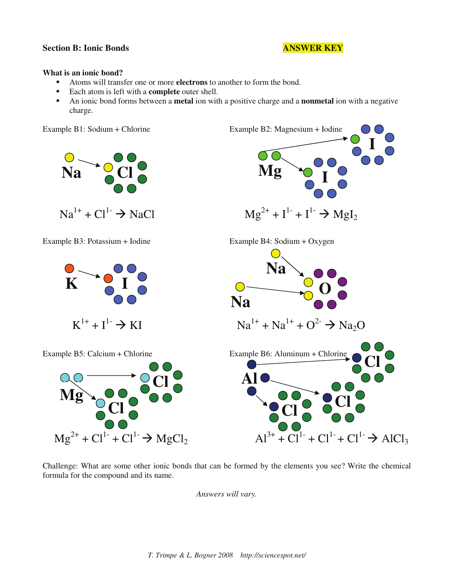### **Section B: Ionic Bonds ANSWER KEY**

### **What is an ionic bond?**

- Atoms will transfer one or more **electrons** to another to form the bond.
- Each atom is left with a **complete** outer shell.
- An ionic bond forms between a **metal** ion with a positive charge and a **nonmetal** ion with a negative charge.

Example B1: Sodium + Chlorine Example B2: Magnesium + Iodine



Challenge: What are some other ionic bonds that can be formed by the elements you see? Write the chemical formula for the compound and its name.

*Answers will vary.*